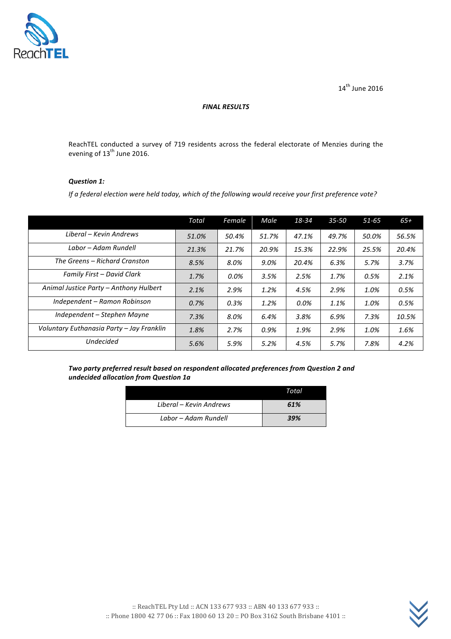

 $14^{\text{th}}$  June 2016

#### *FINAL RESULTS*

ReachTEL conducted a survey of 719 residents across the federal electorate of Menzies during the evening of 13<sup>th</sup> June 2016.

#### *Question 1:*

*If a federal election were held today, which of the following would receive your first preference vote?* 

|                                           | Total | Female | Male  | 18-34 | $35 - 50$ | $51 - 65$ | $65+$ |
|-------------------------------------------|-------|--------|-------|-------|-----------|-----------|-------|
| Liberal – Kevin Andrews                   | 51.0% | 50.4%  | 51.7% | 47.1% | 49.7%     | 50.0%     | 56.5% |
| Labor - Adam Rundell                      | 21.3% | 21.7%  | 20.9% | 15.3% | 22.9%     | 25.5%     | 20.4% |
| The Greens – Richard Cranston             | 8.5%  | 8.0%   | 9.0%  | 20.4% | 6.3%      | 5.7%      | 3.7%  |
| Family First - David Clark                | 1.7%  | 0.0%   | 3.5%  | 2.5%  | 1.7%      | 0.5%      | 2.1%  |
| Animal Justice Party - Anthony Hulbert    | 2.1%  | 2.9%   | 1.2%  | 4.5%  | 2.9%      | 1.0%      | 0.5%  |
| Independent - Ramon Robinson              | 0.7%  | 0.3%   | 1.2%  | 0.0%  | 1.1%      | 1.0%      | 0.5%  |
| Independent – Stephen Mayne               | 7.3%  | 8.0%   | 6.4%  | 3.8%  | 6.9%      | 7.3%      | 10.5% |
| Voluntary Euthanasia Party - Jay Franklin | 1.8%  | 2.7%   | 0.9%  | 1.9%  | 2.9%      | 1.0%      | 1.6%  |
| <b>Undecided</b>                          | 5.6%  | 5.9%   | 5.2%  | 4.5%  | 5.7%      | 7.8%      | 4.2%  |

Two party preferred result based on respondent allocated preferences from Question 2 and *undecided allocation from Question 1a*

|                         | Total |
|-------------------------|-------|
| Liberal – Kevin Andrews | 61%   |
| Labor - Adam Rundell    | 39%   |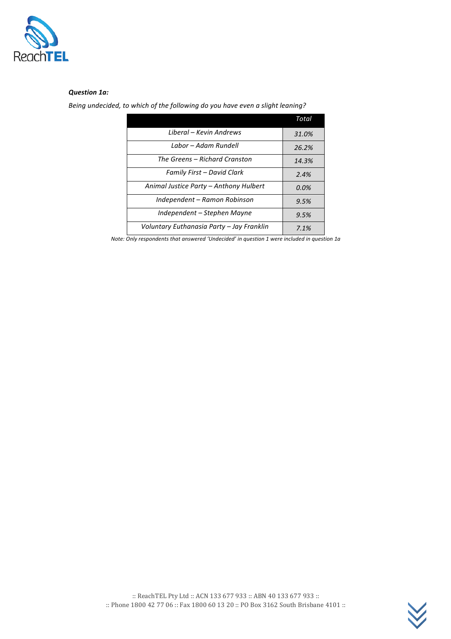

#### *Question 1a:*

Being undecided, to which of the following do you have even a slight leaning?

|                                           | Total |
|-------------------------------------------|-------|
| Liberal – Kevin Andrews                   | 31.0% |
| Labor - Adam Rundell                      | 26.2% |
| The Greens – Richard Cranston             | 14.3% |
| Family First – David Clark                | 2.4%  |
| Animal Justice Party – Anthony Hulbert    | 0.0%  |
| Independent - Ramon Robinson              | 9.5%  |
| Independent – Stephen Mayne               | 9.5%  |
| Voluntary Euthanasia Party - Jay Franklin | 7.1%  |

*Note:* Only respondents that answered 'Undecided' in question 1 were included in question 1a

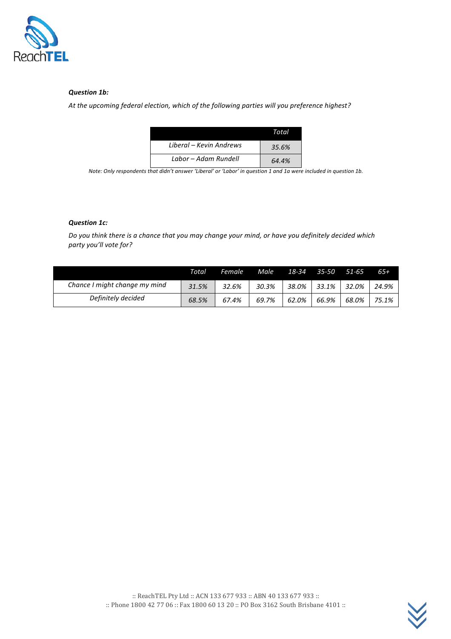

## *Question 1b:*

At the upcoming federal election, which of the following parties will you preference highest?

|                         | Total |
|-------------------------|-------|
| Liberal – Kevin Andrews | 35.6% |
| Labor - Adam Rundell    | 64.4% |

*Note:* Only respondents that didn't answer 'Liberal' or 'Labor' in question 1 and 1a were included in question 1b.

## *Question 1c:*

Do you think there is a chance that you may change your mind, or have you definitely decided which *party you'll vote for?*

|                               | Total | Female | Male  | 18-34 | 35-50 | 51-65 | $65+$ |
|-------------------------------|-------|--------|-------|-------|-------|-------|-------|
| Chance I might change my mind | 31.5% | 32.6%  | 30.3% | 38.0% | 33.1% | 32.0% | 24.9% |
| Definitely decided            | 68.5% | 67.4%  | 69.7% | 62.0% | 66.9% | 68.0% | 75.1% |

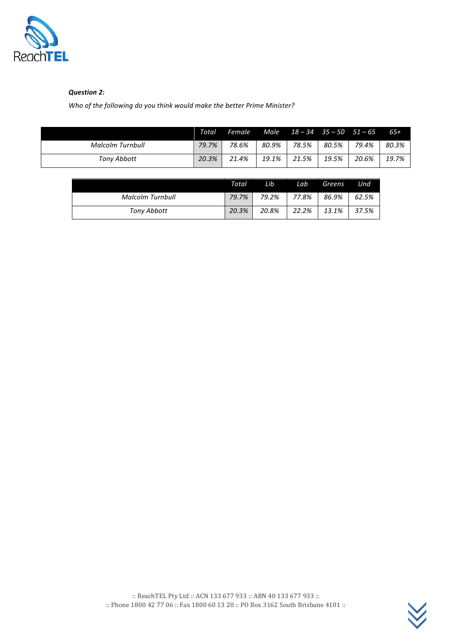

# *Question 2:*

Who of the following do you think would make the better Prime Minister?

|                         | Total | <b>Female</b> |       |       | Male $18 - 34$ $35 - 50$ $51 - 65$ |       | 65+   |
|-------------------------|-------|---------------|-------|-------|------------------------------------|-------|-------|
| <b>Malcolm Turnbull</b> | 79.7% | 78.6%         | 80.9% | 78.5% | 80.5%                              | 79.4% | 80.3% |
| Tony Abbott             | 20.3% | 21.4%         | 19.1% | 21.5% | 19.5%                              | 20.6% | 19.7% |

|                         | Total | Lib   | Lab      | Greens | Und   |
|-------------------------|-------|-------|----------|--------|-------|
| <b>Malcolm Turnbull</b> | 79.7% | 79.2% | 77.8%    | 86.9%  | 62.5% |
| <b>Tony Abbott</b>      | 20.3% | 20.8% | $22.2\%$ | 13.1%  | 37.5% |

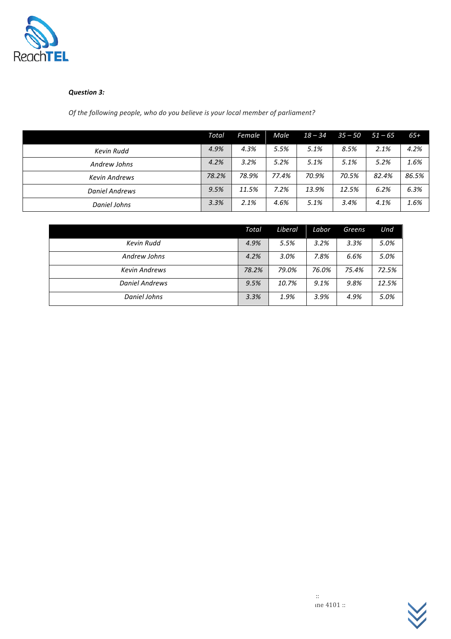

### *Question 3:*

Of the following people, who do you believe is your local member of parliament?

|                       | Total | Female | Male  | $18 - 34$ | $35 - 50$ | $51 - 65$ | $65+$ |
|-----------------------|-------|--------|-------|-----------|-----------|-----------|-------|
| Kevin Rudd            | 4.9%  | 4.3%   | 5.5%  | 5.1%      | 8.5%      | 2.1%      | 4.2%  |
| Andrew Johns          | 4.2%  | 3.2%   | 5.2%  | 5.1%      | 5.1%      | 5.2%      | 1.6%  |
| <b>Kevin Andrews</b>  | 78.2% | 78.9%  | 77.4% | 70.9%     | 70.5%     | 82.4%     | 86.5% |
| <b>Daniel Andrews</b> | 9.5%  | 11.5%  | 7.2%  | 13.9%     | 12.5%     | 6.2%      | 6.3%  |
| Daniel Johns          | 3.3%  | 2.1%   | 4.6%  | 5.1%      | 3.4%      | 4.1%      | 1.6%  |

|                       | Total | Liberal | Labor | <b>Greens</b> | Und   |
|-----------------------|-------|---------|-------|---------------|-------|
| Kevin Rudd            | 4.9%  | 5.5%    | 3.2%  | 3.3%          | 5.0%  |
| Andrew Johns          | 4.2%  | 3.0%    | 7.8%  | 6.6%          | 5.0%  |
| <b>Kevin Andrews</b>  | 78.2% | 79.0%   | 76.0% | 75.4%         | 72.5% |
| <b>Daniel Andrews</b> | 9.5%  | 10.7%   | 9.1%  | 9.8%          | 12.5% |
| <b>Daniel Johns</b>   | 3.3%  | 1.9%    | 3.9%  | 4.9%          | 5.0%  |



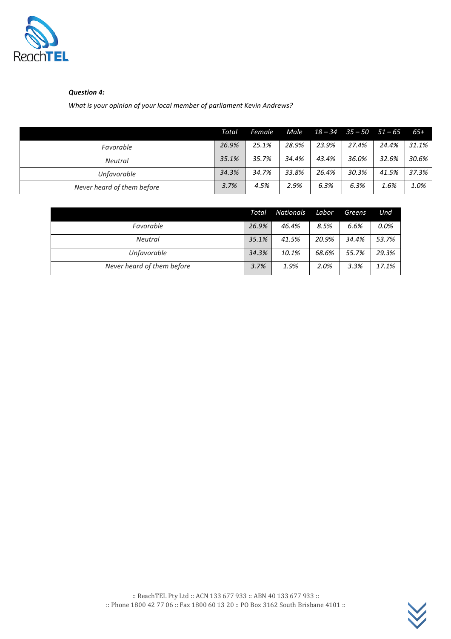

## *Question 4:*

*What is your opinion of your local member of parliament Kevin Andrews?* 

|                            | Total | Female | Male  |       | $18 - 34$ $35 - 50$ $51 - 65$ |       | $65+$ |
|----------------------------|-------|--------|-------|-------|-------------------------------|-------|-------|
| Favorable                  | 26.9% | 25.1%  | 28.9% | 23.9% | 27.4%                         | 24.4% | 31.1% |
| <b>Neutral</b>             | 35.1% | 35.7%  | 34.4% | 43.4% | 36.0%                         | 32.6% | 30.6% |
| Unfavorable                | 34.3% | 34.7%  | 33.8% | 26.4% | 30.3%                         | 41.5% | 37.3% |
| Never heard of them before | 3.7%  | 4.5%   | 2.9%  | 6.3%  | 6.3%                          | 1.6%  | 1.0%  |

|                            | Total | <b>Nationals</b> | Labor | Greens | Und   |
|----------------------------|-------|------------------|-------|--------|-------|
| Favorable                  | 26.9% | 46.4%            | 8.5%  | 6.6%   | 0.0%  |
| <b>Neutral</b>             | 35.1% | 41.5%            | 20.9% | 34.4%  | 53.7% |
| Unfavorable                | 34.3% | 10.1%            | 68.6% | 55.7%  | 29.3% |
| Never heard of them before | 3.7%  | 1.9%             | 2.0%  | 3.3%   | 17.1% |

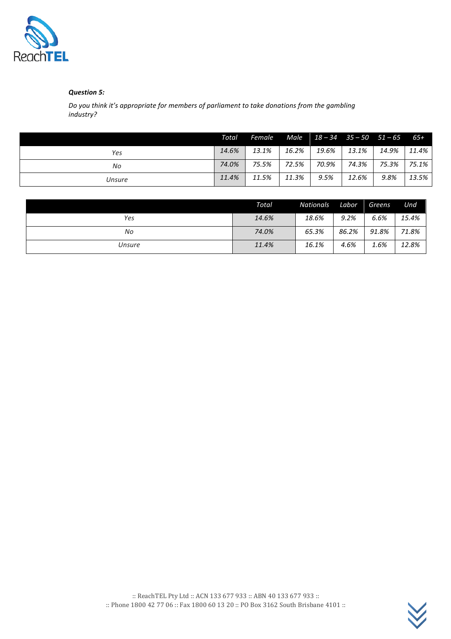

## *Question 5:*

Do you think it's appropriate for members of parliament to take donations from the gambling *industry?*

|        | Total | Female |       | Male $18 - 34$ $35 - 50$ $51 - 65$ |       |       | $65+$ |
|--------|-------|--------|-------|------------------------------------|-------|-------|-------|
| Yes    | 14.6% | 13.1%  | 16.2% | 19.6%                              | 13.1% | 14.9% | 11.4% |
| No     | 74.0% | 75.5%  | 72.5% | 70.9%                              | 74.3% | 75.3% | 75.1% |
| Unsure | 11.4% | 11.5%  | 11.3% | 9.5%                               | 12.6% | 9.8%  | 13.5% |

|        | Total | Nationals | Labor | Greens | Und   |
|--------|-------|-----------|-------|--------|-------|
| Yes    | 14.6% | 18.6%     | 9.2%  | 6.6%   | 15.4% |
| No     | 74.0% | 65.3%     | 86.2% | 91.8%  | 71.8% |
| Unsure | 11.4% | 16.1%     | 4.6%  | 1.6%   | 12.8% |



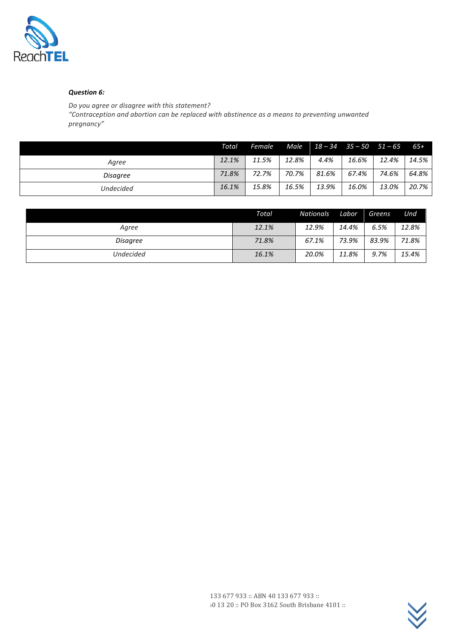

## *Question 6:*

*Do you agree or disagree with this statement?*

*"Contraception and abortion can be replaced with abstinence as a means to preventing unwanted pregnancy"*

|                 | Total | Female |       | Male $18 - 34$ $35 - 50$ $51 - 65$ |       |       | - 65+ |
|-----------------|-------|--------|-------|------------------------------------|-------|-------|-------|
| Agree           | 12.1% | 11.5%  | 12.8% | 4.4%                               | 16.6% | 12.4% | 14.5% |
| <b>Disagree</b> | 71.8% | 72.7%  | 70.7% | 81.6%                              | 67.4% | 74.6% | 64.8% |
| Undecided       | 16.1% | 15.8%  | 16.5% | 13.9%                              | 16.0% | 13.0% | 20.7% |

|                 | Total | <b>Nationals</b> | Labor | Greens | Und   |
|-----------------|-------|------------------|-------|--------|-------|
| Agree           | 12.1% | 12.9%            | 14.4% | 6.5%   | 12.8% |
| <b>Disagree</b> | 71.8% | 67.1%            | 73.9% | 83.9%  | 71.8% |
| Undecided       | 16.1% | 20.0%            | 11.8% | 9.7%   | 15.4% |